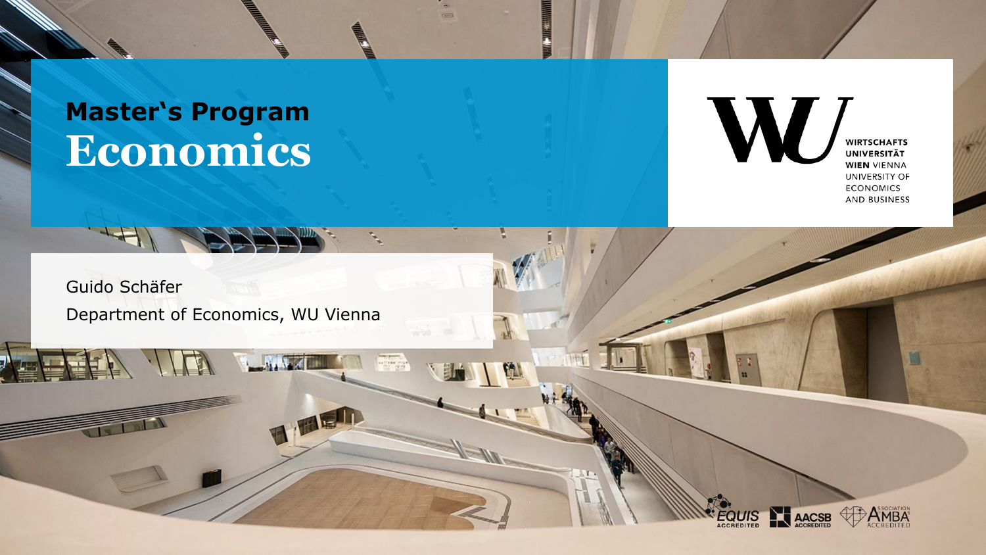### **Economics Master's Program**



Guido Schäfer Department of Economics, WU Vienna

 $\sqrt{1-t}$ 





E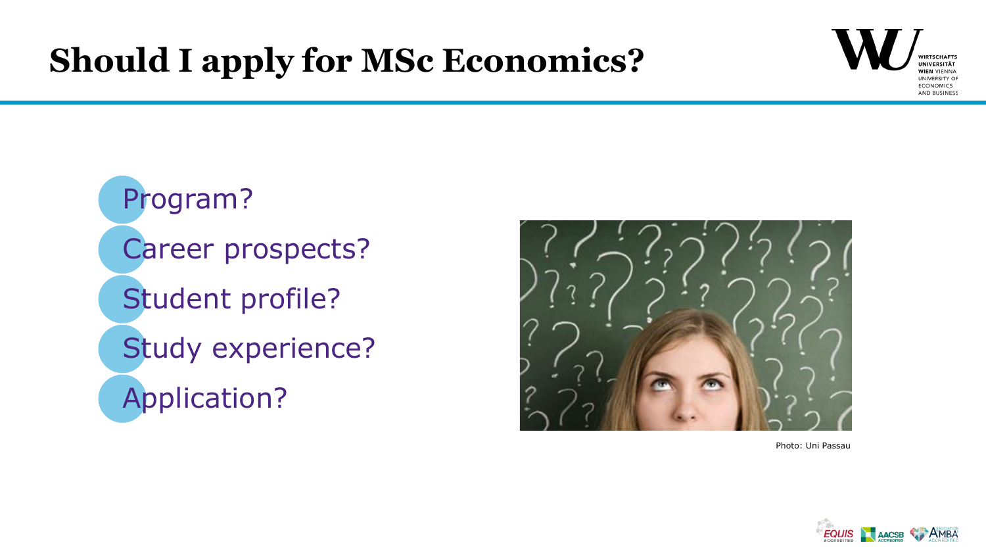# **Should I apply for MSc Economics?**



Program? Career prospects? Student profile? Study experience? Application?



Photo: Uni Passau

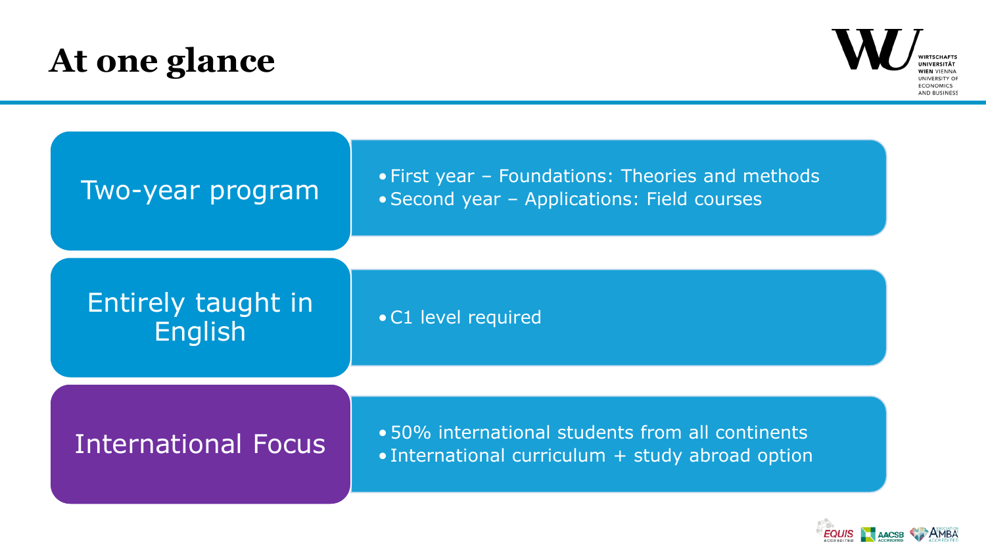# **At one glance**



| Two-year program                     | • First year – Foundations: Theories and methods<br>• Second year - Applications: Field courses |
|--------------------------------------|-------------------------------------------------------------------------------------------------|
| Entirely taught in<br><b>English</b> | • C1 level required                                                                             |
| <b>International Focus</b>           | •50% international students from all continents                                                 |
|                                      | • International curriculum $+$ study abroad option                                              |

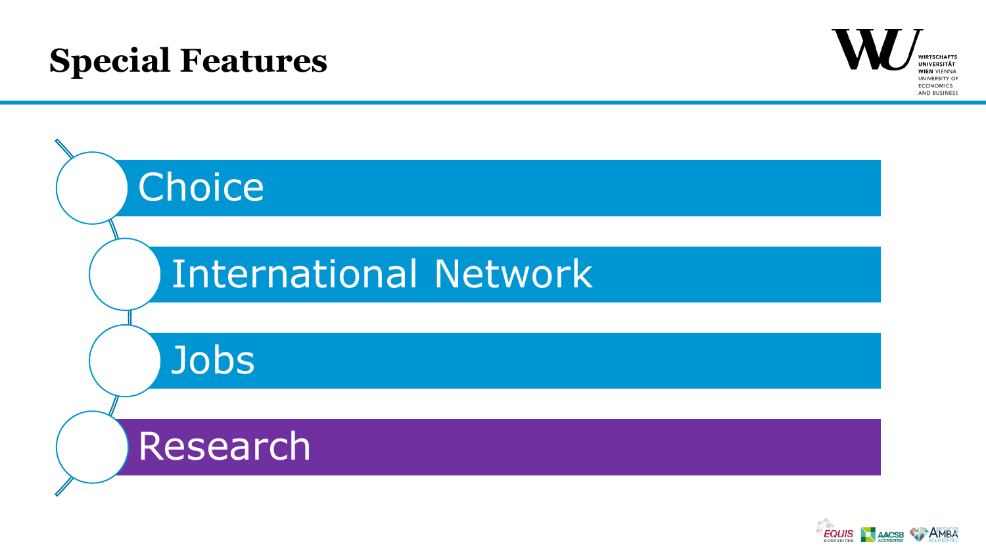# **Special Features**





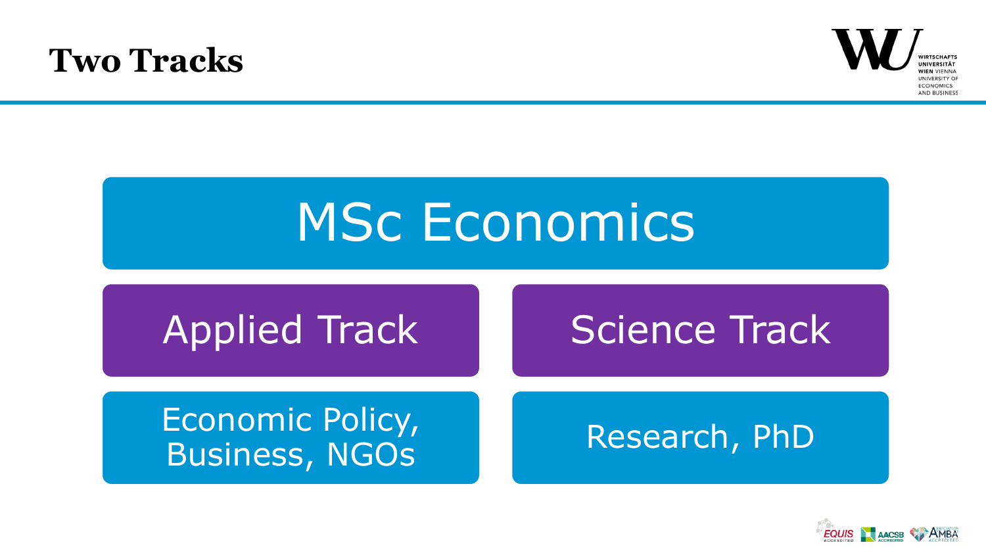### **Two Tracks**



# **MSc Economics** Applied Track Economic Policy, Business, NGOs Science Track Research, PhD

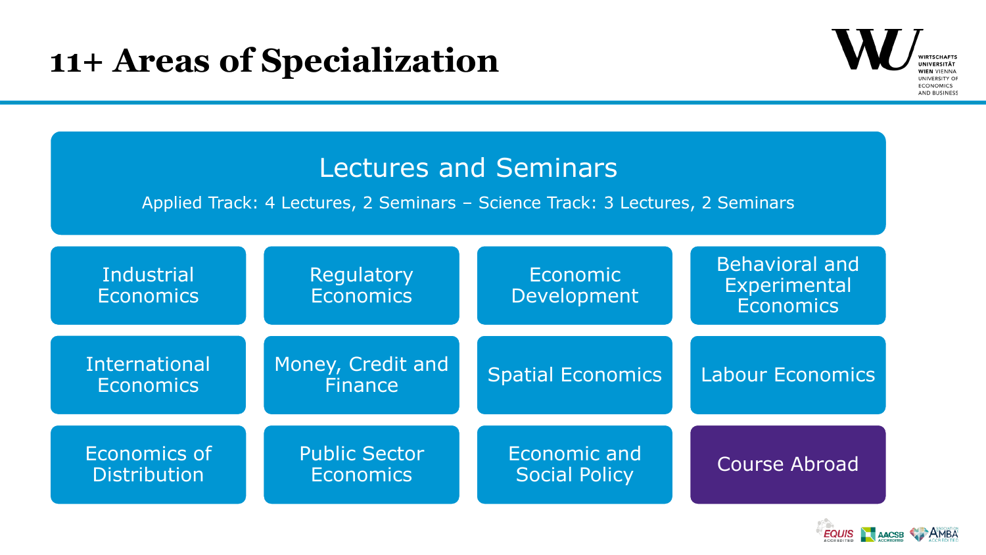### **11+ Areas of Specialization**



| <b>Lectures and Seminars</b><br>Applied Track: 4 Lectures, 2 Seminars - Science Track: 3 Lectures, 2 Seminars |                                          |                                      |                                                           |
|---------------------------------------------------------------------------------------------------------------|------------------------------------------|--------------------------------------|-----------------------------------------------------------|
| <b>Industrial</b><br><b>Economics</b>                                                                         | Regulatory<br><b>Economics</b>           | Economic<br>Development              | <b>Behavioral and</b><br>Experimental<br><b>Economics</b> |
| <b>International</b><br><b>Economics</b>                                                                      | Money, Credit and<br><b>Finance</b>      | <b>Spatial Economics</b>             | <b>Labour Economics</b>                                   |
| Economics of<br><b>Distribution</b>                                                                           | <b>Public Sector</b><br><b>Economics</b> | Economic and<br><b>Social Policy</b> | <b>Course Abroad</b>                                      |

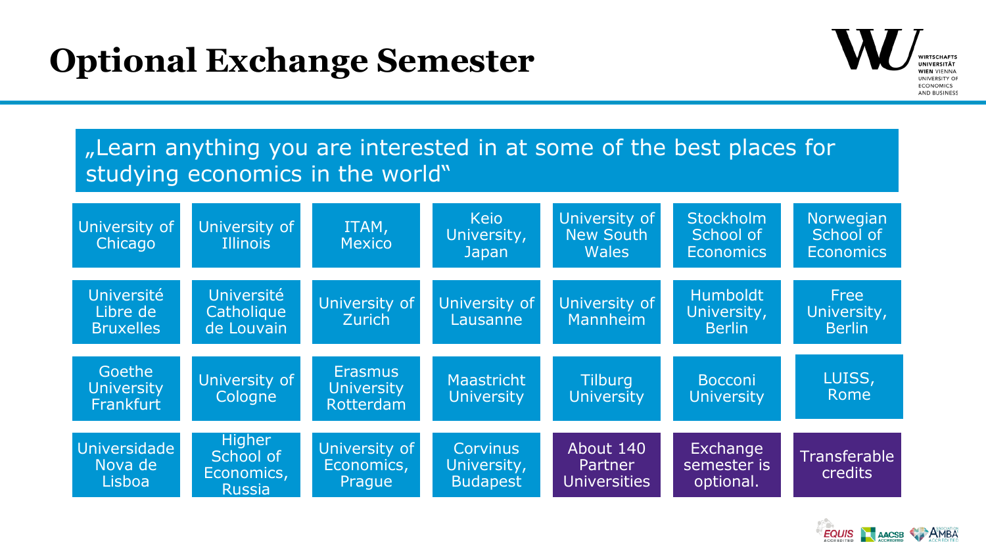# **Optional Exchange Semester**



#### ...Learn anything you are interested in at some of the best places for studying economics in the world"



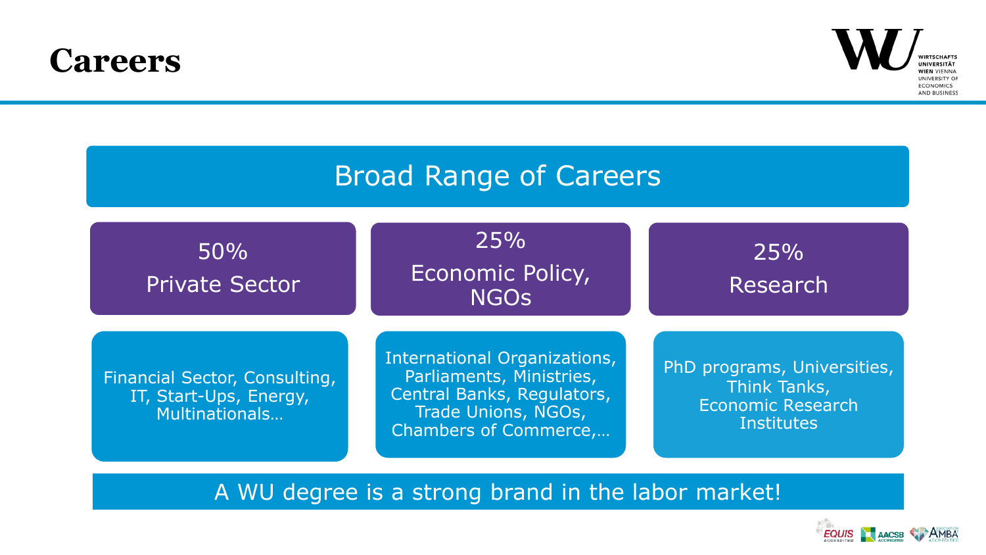### **Careers**



#### Broad Range of Careers

| 50%<br><b>Private Sector</b>                                              | 25%<br>Economic Policy,<br><b>NGOS</b>                                                                                                 | 25%<br>Research                                                                              |
|---------------------------------------------------------------------------|----------------------------------------------------------------------------------------------------------------------------------------|----------------------------------------------------------------------------------------------|
| Financial Sector, Consulting,<br>IT, Start-Ups, Energy,<br>Multinationals | International Organizations,<br>Parliaments, Ministries,<br>Central Banks, Regulators,<br>Trade Unions, NGOs,<br>Chambers of Commerce, | PhD programs, Universities,<br>Think Tanks,<br><b>Economic Research</b><br><b>Institutes</b> |

A WU degree is a strong brand in the labor market!

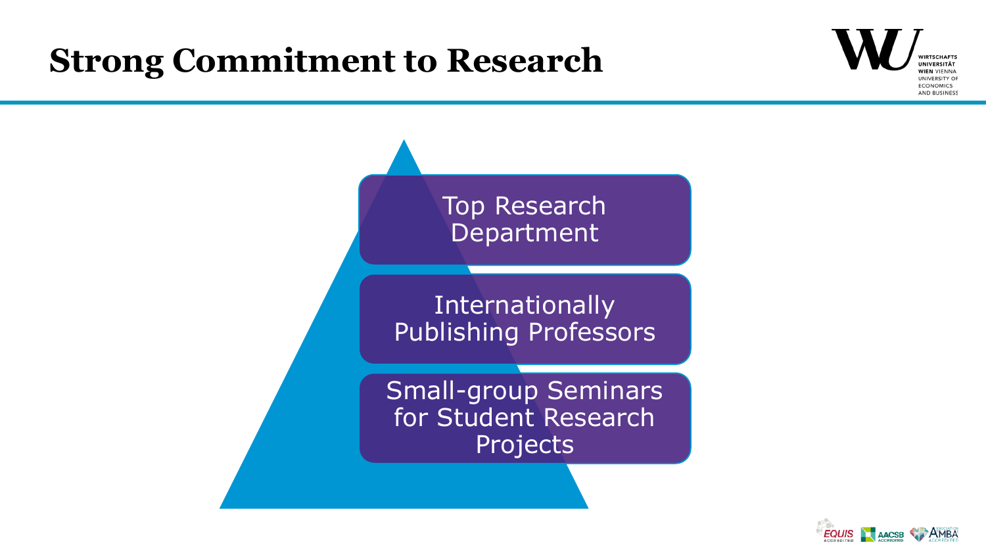### **Strong Commitment to Research**





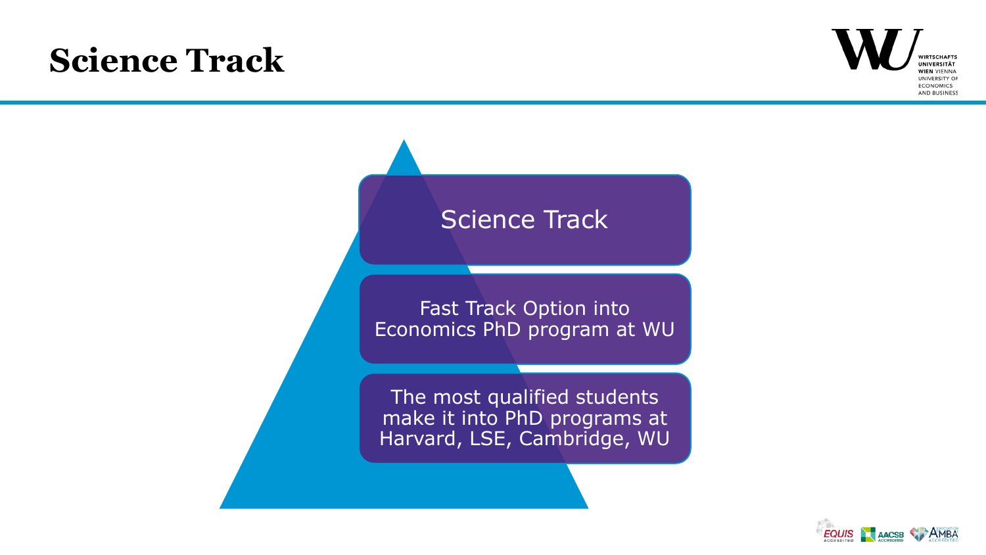# **Science Track**





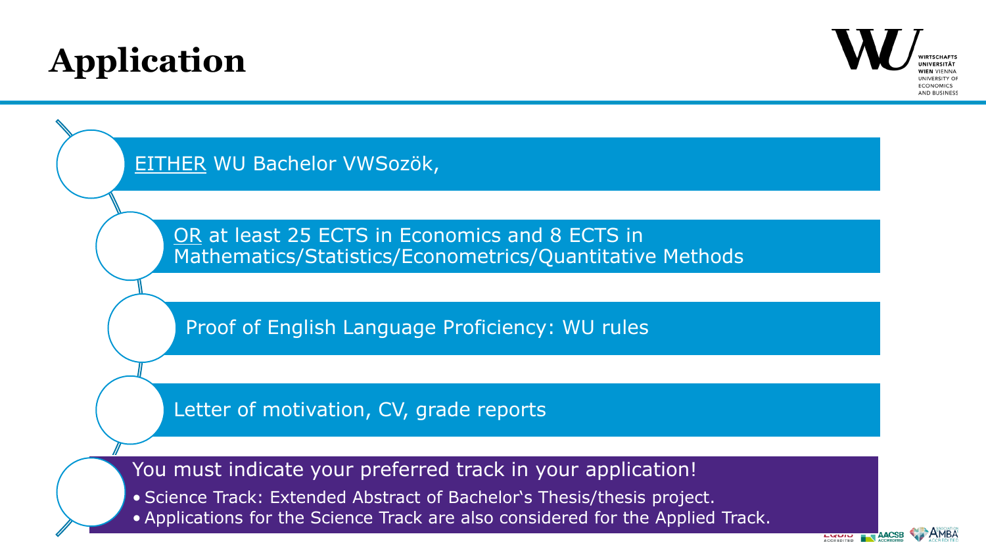# **Application**



EITHER WU Bachelor VWSozök,

OR at least 25 ECTS in Economics and 8 ECTS in Mathematics/Statistics/Econometrics/Quantitative Methods

Proof of English Language Proficiency: WU rules

Letter of motivation, CV, grade reports

You must indicate your preferred track in your application!

• Science Track: Extended Abstract of Bachelor's Thesis/thesis project.

• Applications for the Science Track are also considered for the Applied Track.

**LUUR**